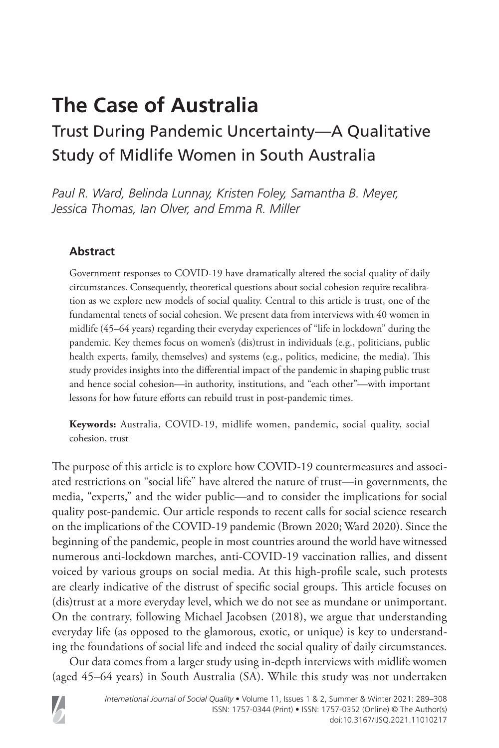# **The Case of Australia**

# Trust During Pandemic Uncertainty—A Qualitative Study of Midlife Women in South Australia

*Paul R. Ward, Belinda Lunnay, Kristen Foley, Samantha B. Meyer, Jessica Thomas, Ian Olver, and Emma R. Miller*

## **Abstract**

Government responses to COVID-19 have dramatically altered the social quality of daily circumstances. Consequently, theoretical questions about social cohesion require recalibration as we explore new models of social quality. Central to this article is trust, one of the fundamental tenets of social cohesion. We present data from interviews with 40 women in midlife (45–64 years) regarding their everyday experiences of "life in lockdown" during the pandemic. Key themes focus on women's (dis)trust in individuals (e.g., politicians, public health experts, family, themselves) and systems (e.g., politics, medicine, the media). This study provides insights into the differential impact of the pandemic in shaping public trust and hence social cohesion—in authority, institutions, and "each other"—with important lessons for how future efforts can rebuild trust in post-pandemic times.

**Keywords:** Australia, COVID-19, midlife women, pandemic, social quality, social cohesion, trust

The purpose of this article is to explore how COVID-19 countermeasures and associated restrictions on "social life" have altered the nature of trust—in governments, the media, "experts," and the wider public—and to consider the implications for social quality post-pandemic. Our article responds to recent calls for social science research on the implications of the COVID-19 pandemic (Brown 2020; Ward 2020). Since the beginning of the pandemic, people in most countries around the world have witnessed numerous anti-lockdown marches, anti-COVID-19 vaccination rallies, and dissent voiced by various groups on social media. At this high-profile scale, such protests are clearly indicative of the distrust of specific social groups. This article focuses on (dis)trust at a more everyday level, which we do not see as mundane or unimportant. On the contrary, following Michael Jacobsen (2018), we argue that understanding everyday life (as opposed to the glamorous, exotic, or unique) is key to understanding the foundations of social life and indeed the social quality of daily circumstances.

Our data comes from a larger study using in-depth interviews with midlife women (aged 45–64 years) in South Australia (SA). While this study was not undertaken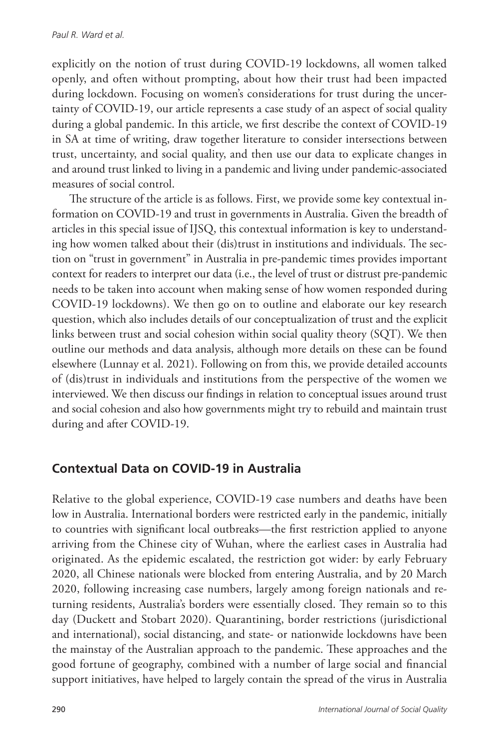explicitly on the notion of trust during COVID-19 lockdowns, all women talked openly, and often without prompting, about how their trust had been impacted during lockdown. Focusing on women's considerations for trust during the uncertainty of COVID-19, our article represents a case study of an aspect of social quality during a global pandemic. In this article, we first describe the context of COVID-19 in SA at time of writing, draw together literature to consider intersections between trust, uncertainty, and social quality, and then use our data to explicate changes in and around trust linked to living in a pandemic and living under pandemic-associated measures of social control.

The structure of the article is as follows. First, we provide some key contextual information on COVID-19 and trust in governments in Australia. Given the breadth of articles in this special issue of IJSQ, this contextual information is key to understanding how women talked about their (dis)trust in institutions and individuals. The section on "trust in government" in Australia in pre-pandemic times provides important context for readers to interpret our data (i.e., the level of trust or distrust pre-pandemic needs to be taken into account when making sense of how women responded during COVID-19 lockdowns). We then go on to outline and elaborate our key research question, which also includes details of our conceptualization of trust and the explicit links between trust and social cohesion within social quality theory (SQT). We then outline our methods and data analysis, although more details on these can be found elsewhere (Lunnay et al. 2021). Following on from this, we provide detailed accounts of (dis)trust in individuals and institutions from the perspective of the women we interviewed. We then discuss our findings in relation to conceptual issues around trust and social cohesion and also how governments might try to rebuild and maintain trust during and after COVID-19.

# **Contextual Data on COVID-19 in Australia**

Relative to the global experience, COVID-19 case numbers and deaths have been low in Australia. International borders were restricted early in the pandemic, initially to countries with significant local outbreaks—the first restriction applied to anyone arriving from the Chinese city of Wuhan, where the earliest cases in Australia had originated. As the epidemic escalated, the restriction got wider: by early February 2020, all Chinese nationals were blocked from entering Australia, and by 20 March 2020, following increasing case numbers, largely among foreign nationals and returning residents, Australia's borders were essentially closed. They remain so to this day (Duckett and Stobart 2020). Quarantining, border restrictions (jurisdictional and international), social distancing, and state- or nationwide lockdowns have been the mainstay of the Australian approach to the pandemic. These approaches and the good fortune of geography, combined with a number of large social and financial support initiatives, have helped to largely contain the spread of the virus in Australia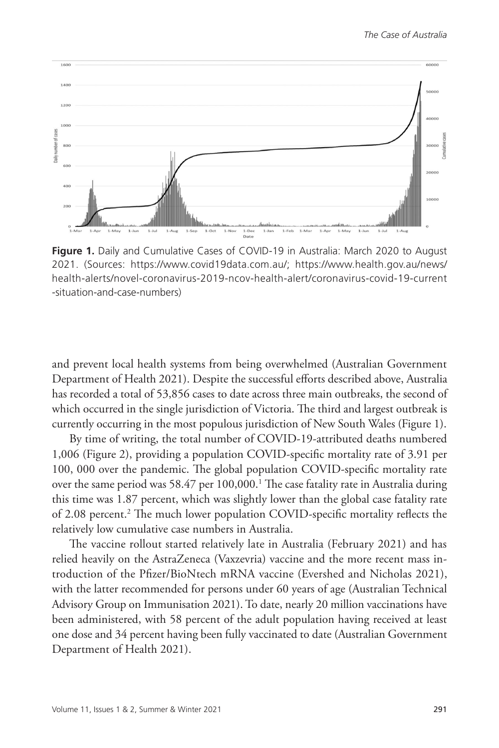

**Figure 1.** Daily and Cumulative Cases of COVID-19 in Australia: March 2020 to August 2021. (Sources: <https://www.covid19data.com.au/>; https://www.health.gov.au/news/ health-alerts/novel-coronavirus-2019-ncov-health-alert/coronavirus-covid-19-current -situation-and-case-numbers)

and prevent local health systems from being overwhelmed (Australian Government Department of Health 2021). Despite the successful efforts described above, Australia has recorded a total of 53,856 cases to date across three main outbreaks, the second of which occurred in the single jurisdiction of Victoria. The third and largest outbreak is currently occurring in the most populous jurisdiction of New South Wales (Figure 1).

By time of writing, the total number of COVID-19-attributed deaths numbered 1,006 (Figure 2), providing a population COVID-specific mortality rate of 3.91 per 100, 000 over the pandemic. The global population COVID-specific mortality rate over the same period was 58.47 per 100,000.<sup>1</sup> The case fatality rate in Australia during this time was 1.87 percent, which was slightly lower than the global case fatality rate of 2.08 percent.<sup>2</sup> The much lower population COVID-specific mortality reflects the relatively low cumulative case numbers in Australia.

The vaccine rollout started relatively late in Australia (February 2021) and has relied heavily on the AstraZeneca (Vaxzevria) vaccine and the more recent mass introduction of the Pfizer/BioNtech mRNA vaccine (Evershed and Nicholas 2021), with the latter recommended for persons under 60 years of age (Australian Technical Advisory Group on Immunisation 2021). To date, nearly 20 million vaccinations have been administered, with 58 percent of the adult population having received at least one dose and 34 percent having been fully vaccinated to date (Australian Government Department of Health 2021).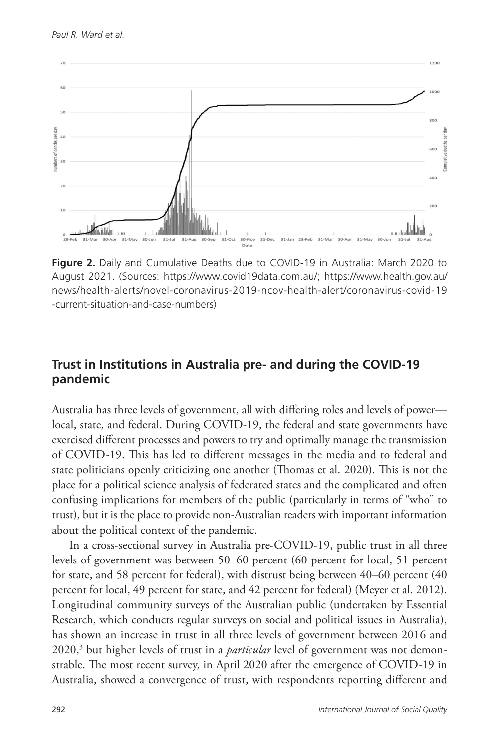

**Figure 2.** Daily and Cumulative Deaths due to COVID-19 in Australia: March 2020 to August 2021. (Sources: https://www.covid19data.com.au/; https://www.health.gov.au/ news/health-alerts/novel-coronavirus-2019-ncov-health-alert/coronavirus-covid-19 -current-situation-and-case-numbers)

## **Trust in Institutions in Australia pre- and during the COVID-19 pandemic**

Australia has three levels of government, all with differing roles and levels of power local, state, and federal. During COVID-19, the federal and state governments have exercised different processes and powers to try and optimally manage the transmission of COVID-19. This has led to different messages in the media and to federal and state politicians openly criticizing one another (Thomas et al. 2020). This is not the place for a political science analysis of federated states and the complicated and often confusing implications for members of the public (particularly in terms of "who" to trust), but it is the place to provide non-Australian readers with important information about the political context of the pandemic.

In a cross-sectional survey in Australia pre-COVID-19, public trust in all three levels of government was between 50–60 percent (60 percent for local, 51 percent for state, and 58 percent for federal), with distrust being between 40–60 percent (40 percent for local, 49 percent for state, and 42 percent for federal) (Meyer et al. 2012). Longitudinal community surveys of the Australian public (undertaken by Essential Research, which conducts regular surveys on social and political issues in Australia), has shown an increase in trust in all three levels of government between 2016 and 2020,3 but higher levels of trust in a *particular* level of government was not demonstrable. The most recent survey, in April 2020 after the emergence of COVID-19 in Australia, showed a convergence of trust, with respondents reporting different and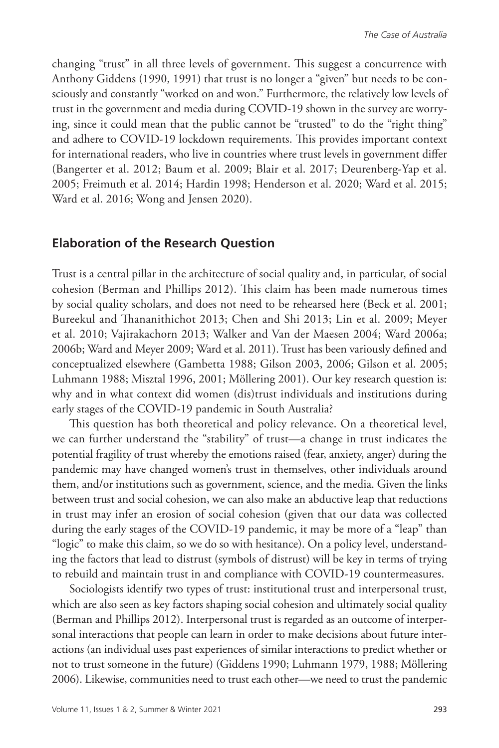changing "trust" in all three levels of government. This suggest a concurrence with Anthony Giddens (1990, 1991) that trust is no longer a "given" but needs to be consciously and constantly "worked on and won." Furthermore, the relatively low levels of trust in the government and media during COVID-19 shown in the survey are worrying, since it could mean that the public cannot be "trusted" to do the "right thing" and adhere to COVID-19 lockdown requirements. This provides important context for international readers, who live in countries where trust levels in government differ (Bangerter et al. 2012; Baum et al. 2009; Blair et al. 2017; Deurenberg-Yap et al. 2005; Freimuth et al. 2014; Hardin 1998; Henderson et al. 2020; Ward et al. 2015; Ward et al. 2016; Wong and Jensen 2020).

#### **Elaboration of the Research Question**

Trust is a central pillar in the architecture of social quality and, in particular, of social cohesion (Berman and Phillips 2012). This claim has been made numerous times by social quality scholars, and does not need to be rehearsed here (Beck et al. 2001; Bureekul and Thananithichot 2013; Chen and Shi 2013; Lin et al. 2009; Meyer et al. 2010; Vajirakachorn 2013; Walker and Van der Maesen 2004; Ward 2006a; 2006b; Ward and Meyer 2009; Ward et al. 2011). Trust has been variously defined and conceptualized elsewhere (Gambetta 1988; Gilson 2003, 2006; Gilson et al. 2005; Luhmann 1988; Misztal 1996, 2001; Möllering 2001). Our key research question is: why and in what context did women (dis)trust individuals and institutions during early stages of the COVID-19 pandemic in South Australia?

This question has both theoretical and policy relevance. On a theoretical level, we can further understand the "stability" of trust—a change in trust indicates the potential fragility of trust whereby the emotions raised (fear, anxiety, anger) during the pandemic may have changed women's trust in themselves, other individuals around them, and/or institutions such as government, science, and the media. Given the links between trust and social cohesion, we can also make an abductive leap that reductions in trust may infer an erosion of social cohesion (given that our data was collected during the early stages of the COVID-19 pandemic, it may be more of a "leap" than "logic" to make this claim, so we do so with hesitance). On a policy level, understanding the factors that lead to distrust (symbols of distrust) will be key in terms of trying to rebuild and maintain trust in and compliance with COVID-19 countermeasures.

Sociologists identify two types of trust: institutional trust and interpersonal trust, which are also seen as key factors shaping social cohesion and ultimately social quality (Berman and Phillips 2012). Interpersonal trust is regarded as an outcome of interpersonal interactions that people can learn in order to make decisions about future interactions (an individual uses past experiences of similar interactions to predict whether or not to trust someone in the future) (Giddens 1990; Luhmann 1979, 1988; Möllering 2006). Likewise, communities need to trust each other—we need to trust the pandemic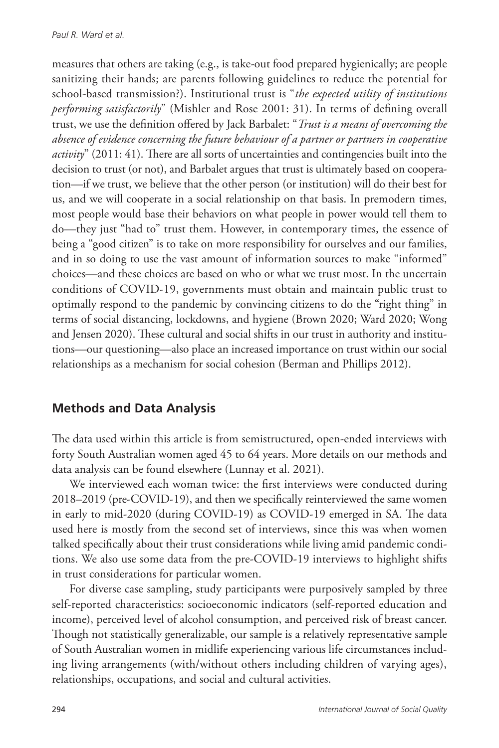measures that others are taking (e.g., is take-out food prepared hygienically; are people sanitizing their hands; are parents following guidelines to reduce the potential for school-based transmission?). Institutional trust is "*the expected utility of institutions performing satisfactorily*" (Mishler and Rose 2001: 31). In terms of defining overall trust, we use the definition offered by Jack Barbalet: "*Trust is a means of overcoming the absence of evidence concerning the future behaviour of a partner or partners in cooperative activity*" (2011: 41). There are all sorts of uncertainties and contingencies built into the decision to trust (or not), and Barbalet argues that trust is ultimately based on cooperation—if we trust, we believe that the other person (or institution) will do their best for us, and we will cooperate in a social relationship on that basis. In premodern times, most people would base their behaviors on what people in power would tell them to do—they just "had to" trust them. However, in contemporary times, the essence of being a "good citizen" is to take on more responsibility for ourselves and our families, and in so doing to use the vast amount of information sources to make "informed" choices—and these choices are based on who or what we trust most. In the uncertain conditions of COVID-19, governments must obtain and maintain public trust to optimally respond to the pandemic by convincing citizens to do the "right thing" in terms of social distancing, lockdowns, and hygiene (Brown 2020; Ward 2020; Wong and Jensen 2020). These cultural and social shifts in our trust in authority and institutions—our questioning—also place an increased importance on trust within our social relationships as a mechanism for social cohesion (Berman and Phillips 2012).

# **Methods and Data Analysis**

The data used within this article is from semistructured, open-ended interviews with forty South Australian women aged 45 to 64 years. More details on our methods and data analysis can be found elsewhere (Lunnay et al. 2021).

We interviewed each woman twice: the first interviews were conducted during 2018–2019 (pre-COVID-19), and then we specifically reinterviewed the same women in early to mid-2020 (during COVID-19) as COVID-19 emerged in SA. The data used here is mostly from the second set of interviews, since this was when women talked specifically about their trust considerations while living amid pandemic conditions. We also use some data from the pre-COVID-19 interviews to highlight shifts in trust considerations for particular women.

For diverse case sampling, study participants were purposively sampled by three self-reported characteristics: socioeconomic indicators (self-reported education and income), perceived level of alcohol consumption, and perceived risk of breast cancer. Though not statistically generalizable, our sample is a relatively representative sample of South Australian women in midlife experiencing various life circumstances including living arrangements (with/without others including children of varying ages), relationships, occupations, and social and cultural activities.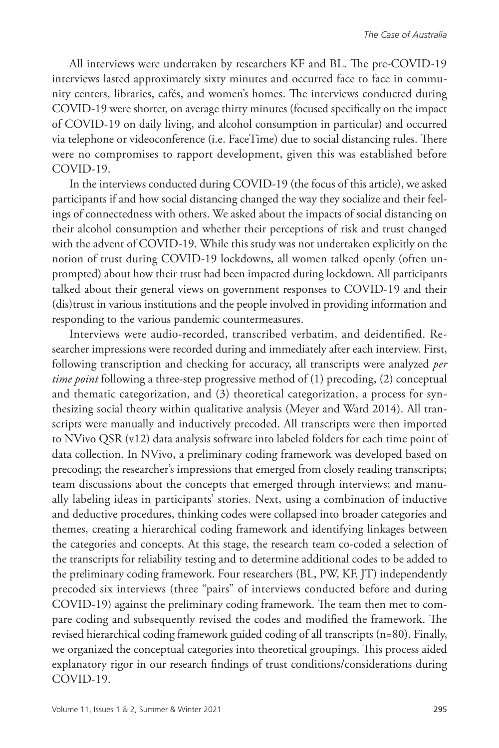All interviews were undertaken by researchers KF and BL. The pre-COVID-19 interviews lasted approximately sixty minutes and occurred face to face in community centers, libraries, cafés, and women's homes. The interviews conducted during COVID-19 were shorter, on average thirty minutes (focused specifically on the impact of COVID-19 on daily living, and alcohol consumption in particular) and occurred via telephone or videoconference (i.e. FaceTime) due to social distancing rules. There were no compromises to rapport development, given this was established before COVID-19.

In the interviews conducted during COVID-19 (the focus of this article), we asked participants if and how social distancing changed the way they socialize and their feelings of connectedness with others. We asked about the impacts of social distancing on their alcohol consumption and whether their perceptions of risk and trust changed with the advent of COVID-19. While this study was not undertaken explicitly on the notion of trust during COVID-19 lockdowns, all women talked openly (often unprompted) about how their trust had been impacted during lockdown. All participants talked about their general views on government responses to COVID-19 and their (dis)trust in various institutions and the people involved in providing information and responding to the various pandemic countermeasures.

Interviews were audio-recorded, transcribed verbatim, and deidentified. Researcher impressions were recorded during and immediately after each interview. First, following transcription and checking for accuracy, all transcripts were analyzed *per time point* following a three-step progressive method of (1) precoding, (2) conceptual and thematic categorization, and (3) theoretical categorization, a process for synthesizing social theory within qualitative analysis (Meyer and Ward 2014). All transcripts were manually and inductively precoded. All transcripts were then imported to NVivo QSR (v12) data analysis software into labeled folders for each time point of data collection. In NVivo, a preliminary coding framework was developed based on precoding; the researcher's impressions that emerged from closely reading transcripts; team discussions about the concepts that emerged through interviews; and manually labeling ideas in participants' stories. Next, using a combination of inductive and deductive procedures, thinking codes were collapsed into broader categories and themes, creating a hierarchical coding framework and identifying linkages between the categories and concepts. At this stage, the research team co-coded a selection of the transcripts for reliability testing and to determine additional codes to be added to the preliminary coding framework. Four researchers (BL, PW, KF, JT) independently precoded six interviews (three "pairs" of interviews conducted before and during COVID-19) against the preliminary coding framework. The team then met to compare coding and subsequently revised the codes and modified the framework. The revised hierarchical coding framework guided coding of all transcripts (n=80). Finally, we organized the conceptual categories into theoretical groupings. This process aided explanatory rigor in our research findings of trust conditions/considerations during COVID-19.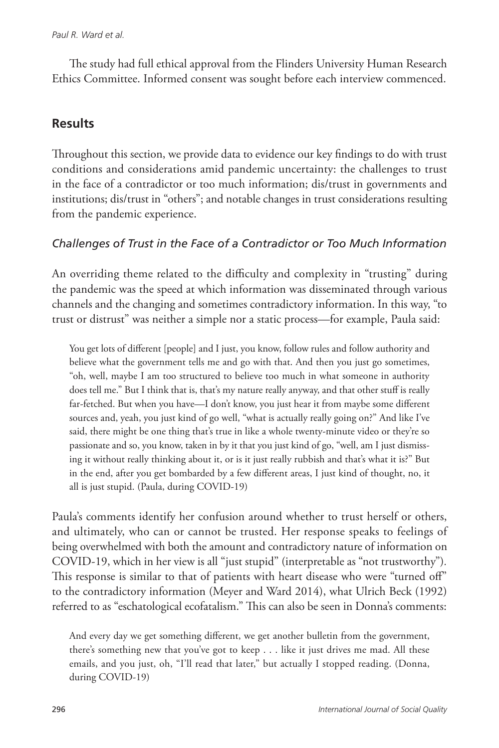#### *Paul R. Ward et al.*

The study had full ethical approval from the Flinders University Human Research Ethics Committee. Informed consent was sought before each interview commenced.

#### **Results**

Throughout this section, we provide data to evidence our key findings to do with trust conditions and considerations amid pandemic uncertainty: the challenges to trust in the face of a contradictor or too much information; dis/trust in governments and institutions; dis/trust in "others"; and notable changes in trust considerations resulting from the pandemic experience.

#### *Challenges of Trust in the Face of a Contradictor or Too Much Information*

An overriding theme related to the difficulty and complexity in "trusting" during the pandemic was the speed at which information was disseminated through various channels and the changing and sometimes contradictory information. In this way, "to trust or distrust" was neither a simple nor a static process—for example, Paula said:

You get lots of different [people] and I just, you know, follow rules and follow authority and believe what the government tells me and go with that. And then you just go sometimes, "oh, well, maybe I am too structured to believe too much in what someone in authority does tell me." But I think that is, that's my nature really anyway, and that other stuff is really far-fetched. But when you have—I don't know, you just hear it from maybe some different sources and, yeah, you just kind of go well, "what is actually really going on?" And like I've said, there might be one thing that's true in like a whole twenty-minute video or they're so passionate and so, you know, taken in by it that you just kind of go, "well, am I just dismissing it without really thinking about it, or is it just really rubbish and that's what it is?" But in the end, after you get bombarded by a few different areas, I just kind of thought, no, it all is just stupid. (Paula, during COVID-19)

Paula's comments identify her confusion around whether to trust herself or others, and ultimately, who can or cannot be trusted. Her response speaks to feelings of being overwhelmed with both the amount and contradictory nature of information on COVID-19, which in her view is all "just stupid" (interpretable as "not trustworthy")*.* This response is similar to that of patients with heart disease who were "turned off" to the contradictory information (Meyer and Ward 2014), what Ulrich Beck (1992) referred to as "eschatological ecofatalism." This can also be seen in Donna's comments:

And every day we get something different, we get another bulletin from the government, there's something new that you've got to keep . . . like it just drives me mad. All these emails, and you just, oh, "I'll read that later," but actually I stopped reading. (Donna, during COVID-19)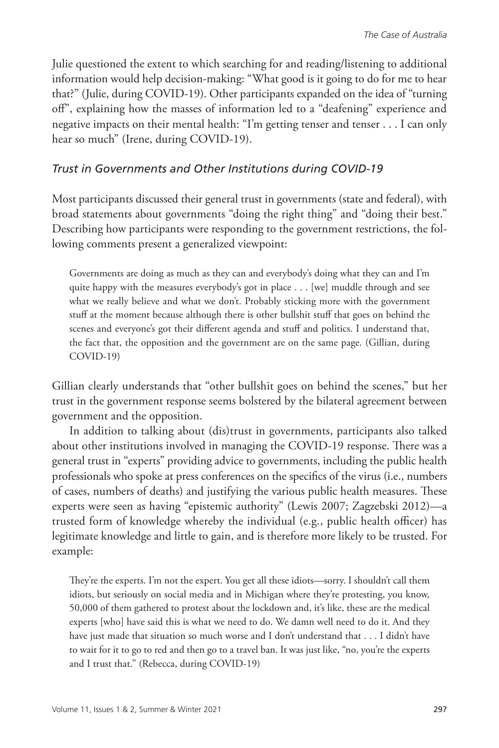Julie questioned the extent to which searching for and reading/listening to additional information would help decision-making: "What good is it going to do for me to hear that?" (Julie, during COVID-19). Other participants expanded on the idea of "turning off", explaining how the masses of information led to a "deafening" experience and negative impacts on their mental health: "I'm getting tenser and tenser . . . I can only hear so much" (Irene, during COVID-19).

#### *Trust in Governments and Other Institutions during COVID-19*

Most participants discussed their general trust in governments (state and federal), with broad statements about governments "doing the right thing" and "doing their best." Describing how participants were responding to the government restrictions, the following comments present a generalized viewpoint:

Governments are doing as much as they can and everybody's doing what they can and I'm quite happy with the measures everybody's got in place . . . [we] muddle through and see what we really believe and what we don't. Probably sticking more with the government stuff at the moment because although there is other bullshit stuff that goes on behind the scenes and everyone's got their different agenda and stuff and politics. I understand that, the fact that, the opposition and the government are on the same page. (Gillian, during COVID-19)

Gillian clearly understands that "other bullshit goes on behind the scenes," but her trust in the government response seems bolstered by the bilateral agreement between government and the opposition.

In addition to talking about (dis)trust in governments, participants also talked about other institutions involved in managing the COVID-19 response. There was a general trust in "experts" providing advice to governments, including the public health professionals who spoke at press conferences on the specifics of the virus (i.e., numbers of cases, numbers of deaths) and justifying the various public health measures. These experts were seen as having "epistemic authority" (Lewis 2007; Zagzebski 2012)—a trusted form of knowledge whereby the individual (e.g., public health officer) has legitimate knowledge and little to gain, and is therefore more likely to be trusted. For example:

They're the experts. I'm not the expert. You get all these idiots—sorry. I shouldn't call them idiots, but seriously on social media and in Michigan where they're protesting, you know, 50,000 of them gathered to protest about the lockdown and, it's like, these are the medical experts [who] have said this is what we need to do. We damn well need to do it. And they have just made that situation so much worse and I don't understand that . . . I didn't have to wait for it to go to red and then go to a travel ban. It was just like, "no, you're the experts and I trust that." (Rebecca, during COVID-19)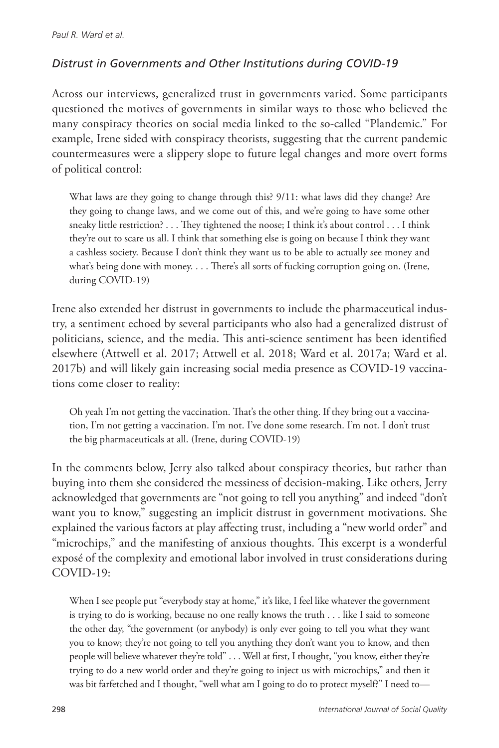# *Distrust in Governments and Other Institutions during COVID-19*

Across our interviews, generalized trust in governments varied. Some participants questioned the motives of governments in similar ways to those who believed the many conspiracy theories on social media linked to the so-called "Plandemic." For example, Irene sided with conspiracy theorists, suggesting that the current pandemic countermeasures were a slippery slope to future legal changes and more overt forms of political control:

What laws are they going to change through this? 9/11: what laws did they change? Are they going to change laws, and we come out of this, and we're going to have some other sneaky little restriction? . . . They tightened the noose; I think it's about control . . . I think they're out to scare us all. I think that something else is going on because I think they want a cashless society. Because I don't think they want us to be able to actually see money and what's being done with money. . . . There's all sorts of fucking corruption going on. (Irene, during COVID-19)

Irene also extended her distrust in governments to include the pharmaceutical industry, a sentiment echoed by several participants who also had a generalized distrust of politicians, science, and the media. This anti-science sentiment has been identified elsewhere (Attwell et al. 2017; Attwell et al. 2018; Ward et al. 2017a; Ward et al. 2017b) and will likely gain increasing social media presence as COVID-19 vaccinations come closer to reality:

Oh yeah I'm not getting the vaccination. That's the other thing. If they bring out a vaccination, I'm not getting a vaccination. I'm not. I've done some research. I'm not. I don't trust the big pharmaceuticals at all. (Irene, during COVID-19)

In the comments below, Jerry also talked about conspiracy theories, but rather than buying into them she considered the messiness of decision-making. Like others, Jerry acknowledged that governments are "not going to tell you anything" and indeed "don't want you to know," suggesting an implicit distrust in government motivations. She explained the various factors at play affecting trust, including a "new world order" and "microchips," and the manifesting of anxious thoughts. This excerpt is a wonderful exposé of the complexity and emotional labor involved in trust considerations during COVID-19:

When I see people put "everybody stay at home," it's like, I feel like whatever the government is trying to do is working, because no one really knows the truth . . . like I said to someone the other day, "the government (or anybody) is only ever going to tell you what they want you to know; they're not going to tell you anything they don't want you to know, and then people will believe whatever they're told" . . . Well at first, I thought, "you know, either they're trying to do a new world order and they're going to inject us with microchips," and then it was bit farfetched and I thought, "well what am I going to do to protect myself?" I need to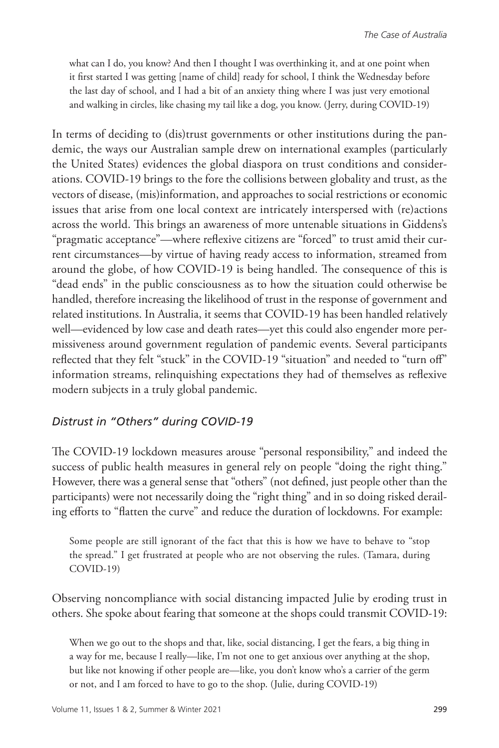what can I do, you know? And then I thought I was overthinking it, and at one point when it first started I was getting [name of child] ready for school, I think the Wednesday before the last day of school, and I had a bit of an anxiety thing where I was just very emotional and walking in circles, like chasing my tail like a dog, you know. (Jerry, during COVID-19)

In terms of deciding to (dis)trust governments or other institutions during the pandemic, the ways our Australian sample drew on international examples (particularly the United States) evidences the global diaspora on trust conditions and considerations. COVID-19 brings to the fore the collisions between globality and trust, as the vectors of disease, (mis)information, and approaches to social restrictions or economic issues that arise from one local context are intricately interspersed with (re)actions across the world. This brings an awareness of more untenable situations in Giddens's "pragmatic acceptance"—where reflexive citizens are "forced" to trust amid their current circumstances—by virtue of having ready access to information, streamed from around the globe, of how COVID-19 is being handled. The consequence of this is "dead ends" in the public consciousness as to how the situation could otherwise be handled, therefore increasing the likelihood of trust in the response of government and related institutions. In Australia, it seems that COVID-19 has been handled relatively well—evidenced by low case and death rates—yet this could also engender more permissiveness around government regulation of pandemic events. Several participants reflected that they felt "stuck" in the COVID-19 "situation" and needed to "turn off" information streams, relinquishing expectations they had of themselves as reflexive modern subjects in a truly global pandemic.

#### *Distrust in "Others" during COVID-19*

The COVID-19 lockdown measures arouse "personal responsibility," and indeed the success of public health measures in general rely on people "doing the right thing." However, there was a general sense that "others" (not defined, just people other than the participants) were not necessarily doing the "right thing" and in so doing risked derailing efforts to "flatten the curve" and reduce the duration of lockdowns. For example:

Some people are still ignorant of the fact that this is how we have to behave to "stop the spread." I get frustrated at people who are not observing the rules. (Tamara, during COVID-19)

Observing noncompliance with social distancing impacted Julie by eroding trust in others. She spoke about fearing that someone at the shops could transmit COVID-19:

When we go out to the shops and that, like, social distancing, I get the fears, a big thing in a way for me, because I really—like, I'm not one to get anxious over anything at the shop, but like not knowing if other people are—like, you don't know who's a carrier of the germ or not, and I am forced to have to go to the shop. (Julie, during COVID-19)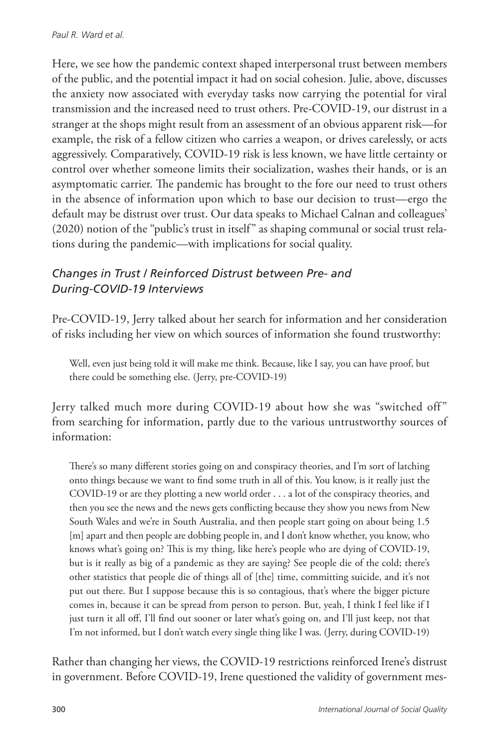Here, we see how the pandemic context shaped interpersonal trust between members of the public, and the potential impact it had on social cohesion. Julie, above, discusses the anxiety now associated with everyday tasks now carrying the potential for viral transmission and the increased need to trust others. Pre-COVID-19, our distrust in a stranger at the shops might result from an assessment of an obvious apparent risk—for example, the risk of a fellow citizen who carries a weapon, or drives carelessly, or acts aggressively. Comparatively, COVID-19 risk is less known, we have little certainty or control over whether someone limits their socialization, washes their hands, or is an asymptomatic carrier. The pandemic has brought to the fore our need to trust others in the absence of information upon which to base our decision to trust—ergo the default may be distrust over trust. Our data speaks to Michael Calnan and colleagues' (2020) notion of the "public's trust in itself" as shaping communal or social trust relations during the pandemic—with implications for social quality.

# *Changes in Trust / Reinforced Distrust between Pre- and During-COVID-19 Interviews*

Pre-COVID-19, Jerry talked about her search for information and her consideration of risks including her view on which sources of information she found trustworthy:

Well, even just being told it will make me think. Because, like I say, you can have proof, but there could be something else. (Jerry, pre-COVID-19)

Jerry talked much more during COVID-19 about how she was "switched off" from searching for information, partly due to the various untrustworthy sources of information:

There's so many different stories going on and conspiracy theories, and I'm sort of latching onto things because we want to find some truth in all of this. You know, is it really just the COVID-19 or are they plotting a new world order . . . a lot of the conspiracy theories, and then you see the news and the news gets conflicting because they show you news from New South Wales and we're in South Australia, and then people start going on about being 1.5 [m] apart and then people are dobbing people in, and I don't know whether, you know, who knows what's going on? This is my thing, like here's people who are dying of COVID-19, but is it really as big of a pandemic as they are saying? See people die of the cold; there's other statistics that people die of things all of [the] time, committing suicide, and it's not put out there. But I suppose because this is so contagious, that's where the bigger picture comes in, because it can be spread from person to person. But, yeah, I think I feel like if I just turn it all off, I'll find out sooner or later what's going on, and I'll just keep, not that I'm not informed, but I don't watch every single thing like I was. (Jerry, during COVID-19)

Rather than changing her views, the COVID-19 restrictions reinforced Irene's distrust in government. Before COVID-19, Irene questioned the validity of government mes-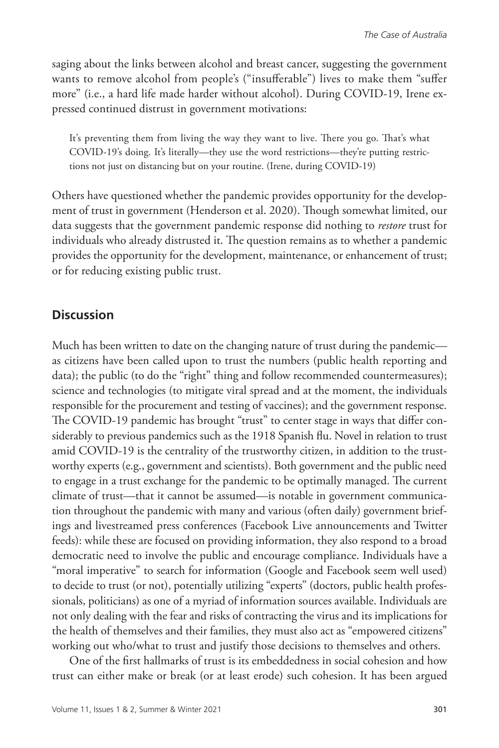saging about the links between alcohol and breast cancer, suggesting the government wants to remove alcohol from people's ("insufferable") lives to make them "suffer more" (i.e., a hard life made harder without alcohol). During COVID-19, Irene expressed continued distrust in government motivations:

It's preventing them from living the way they want to live. There you go. That's what COVID-19's doing. It's literally—they use the word restrictions—they're putting restrictions not just on distancing but on your routine. (Irene, during COVID-19)

Others have questioned whether the pandemic provides opportunity for the development of trust in government (Henderson et al. 2020). Though somewhat limited, our data suggests that the government pandemic response did nothing to *restore* trust for individuals who already distrusted it. The question remains as to whether a pandemic provides the opportunity for the development, maintenance, or enhancement of trust; or for reducing existing public trust.

#### **Discussion**

Much has been written to date on the changing nature of trust during the pandemic as citizens have been called upon to trust the numbers (public health reporting and data); the public (to do the "right" thing and follow recommended countermeasures); science and technologies (to mitigate viral spread and at the moment, the individuals responsible for the procurement and testing of vaccines); and the government response. The COVID-19 pandemic has brought "trust" to center stage in ways that differ considerably to previous pandemics such as the 1918 Spanish flu. Novel in relation to trust amid COVID-19 is the centrality of the trustworthy citizen, in addition to the trustworthy experts (e.g., government and scientists). Both government and the public need to engage in a trust exchange for the pandemic to be optimally managed. The current climate of trust—that it cannot be assumed—is notable in government communication throughout the pandemic with many and various (often daily) government briefings and livestreamed press conferences (Facebook Live announcements and Twitter feeds): while these are focused on providing information, they also respond to a broad democratic need to involve the public and encourage compliance. Individuals have a "moral imperative" to search for information (Google and Facebook seem well used) to decide to trust (or not), potentially utilizing "experts" (doctors, public health professionals, politicians) as one of a myriad of information sources available. Individuals are not only dealing with the fear and risks of contracting the virus and its implications for the health of themselves and their families, they must also act as "empowered citizens" working out who/what to trust and justify those decisions to themselves and others.

One of the first hallmarks of trust is its embeddedness in social cohesion and how trust can either make or break (or at least erode) such cohesion. It has been argued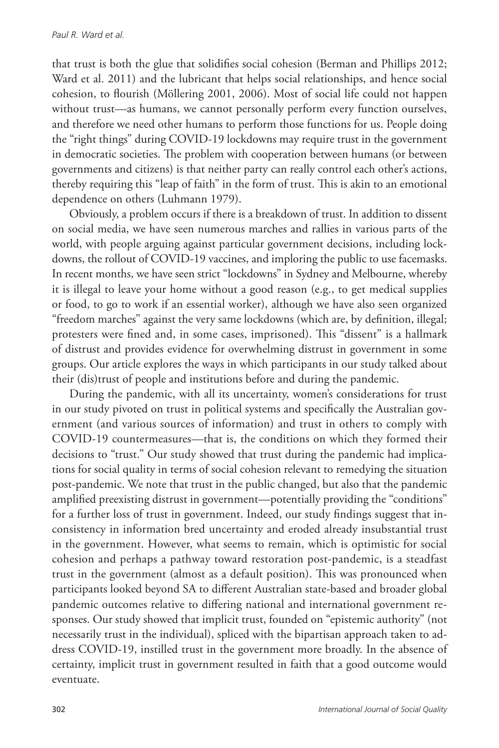that trust is both the glue that solidifies social cohesion (Berman and Phillips 2012; Ward et al. 2011) and the lubricant that helps social relationships, and hence social cohesion, to flourish (Möllering 2001, 2006). Most of social life could not happen without trust—as humans, we cannot personally perform every function ourselves, and therefore we need other humans to perform those functions for us. People doing the "right things" during COVID-19 lockdowns may require trust in the government in democratic societies. The problem with cooperation between humans (or between governments and citizens) is that neither party can really control each other's actions, thereby requiring this "leap of faith" in the form of trust. This is akin to an emotional dependence on others (Luhmann 1979).

Obviously, a problem occurs if there is a breakdown of trust. In addition to dissent on social media, we have seen numerous marches and rallies in various parts of the world, with people arguing against particular government decisions, including lockdowns, the rollout of COVID-19 vaccines, and imploring the public to use facemasks. In recent months, we have seen strict "lockdowns" in Sydney and Melbourne, whereby it is illegal to leave your home without a good reason (e.g., to get medical supplies or food, to go to work if an essential worker), although we have also seen organized "freedom marches" against the very same lockdowns (which are, by definition, illegal; protesters were fined and, in some cases, imprisoned). This "dissent" is a hallmark of distrust and provides evidence for overwhelming distrust in government in some groups. Our article explores the ways in which participants in our study talked about their (dis)trust of people and institutions before and during the pandemic.

During the pandemic, with all its uncertainty, women's considerations for trust in our study pivoted on trust in political systems and specifically the Australian government (and various sources of information) and trust in others to comply with COVID-19 countermeasures—that is, the conditions on which they formed their decisions to "trust." Our study showed that trust during the pandemic had implications for social quality in terms of social cohesion relevant to remedying the situation post-pandemic. We note that trust in the public changed, but also that the pandemic amplified preexisting distrust in government—potentially providing the "conditions" for a further loss of trust in government. Indeed, our study findings suggest that inconsistency in information bred uncertainty and eroded already insubstantial trust in the government. However, what seems to remain, which is optimistic for social cohesion and perhaps a pathway toward restoration post-pandemic, is a steadfast trust in the government (almost as a default position). This was pronounced when participants looked beyond SA to different Australian state-based and broader global pandemic outcomes relative to differing national and international government responses. Our study showed that implicit trust, founded on "epistemic authority" (not necessarily trust in the individual), spliced with the bipartisan approach taken to address COVID-19, instilled trust in the government more broadly. In the absence of certainty, implicit trust in government resulted in faith that a good outcome would eventuate.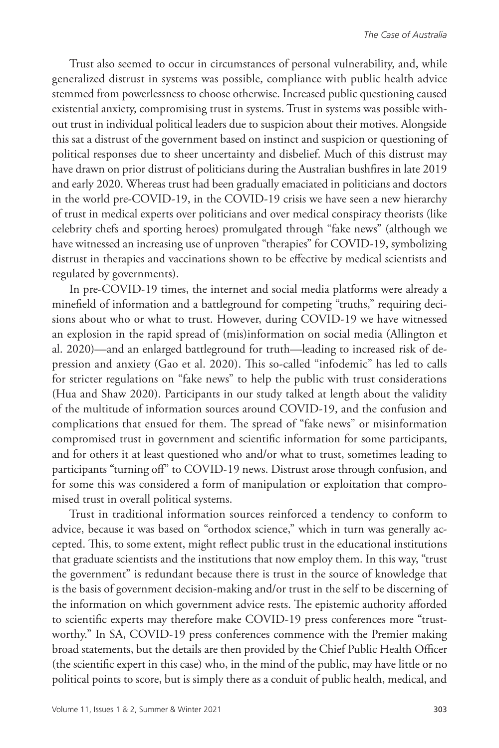Trust also seemed to occur in circumstances of personal vulnerability, and, while generalized distrust in systems was possible, compliance with public health advice stemmed from powerlessness to choose otherwise. Increased public questioning caused existential anxiety, compromising trust in systems. Trust in systems was possible without trust in individual political leaders due to suspicion about their motives. Alongside this sat a distrust of the government based on instinct and suspicion or questioning of political responses due to sheer uncertainty and disbelief. Much of this distrust may have drawn on prior distrust of politicians during the Australian bushfires in late 2019 and early 2020. Whereas trust had been gradually emaciated in politicians and doctors in the world pre-COVID-19, in the COVID-19 crisis we have seen a new hierarchy of trust in medical experts over politicians and over medical conspiracy theorists (like celebrity chefs and sporting heroes) promulgated through "fake news" (although we have witnessed an increasing use of unproven "therapies" for COVID-19, symbolizing distrust in therapies and vaccinations shown to be effective by medical scientists and regulated by governments).

In pre-COVID-19 times, the internet and social media platforms were already a minefield of information and a battleground for competing "truths," requiring decisions about who or what to trust. However, during COVID-19 we have witnessed an explosion in the rapid spread of (mis)information on social media (Allington et al. 2020)—and an enlarged battleground for truth—leading to increased risk of depression and anxiety (Gao et al. 2020). This so-called "infodemic" has led to calls for stricter regulations on "fake news" to help the public with trust considerations (Hua and Shaw 2020). Participants in our study talked at length about the validity of the multitude of information sources around COVID-19, and the confusion and complications that ensued for them. The spread of "fake news" or misinformation compromised trust in government and scientific information for some participants, and for others it at least questioned who and/or what to trust, sometimes leading to participants "turning off" to COVID-19 news. Distrust arose through confusion, and for some this was considered a form of manipulation or exploitation that compromised trust in overall political systems.

Trust in traditional information sources reinforced a tendency to conform to advice, because it was based on "orthodox science," which in turn was generally accepted. This, to some extent, might reflect public trust in the educational institutions that graduate scientists and the institutions that now employ them. In this way, "trust the government" is redundant because there is trust in the source of knowledge that is the basis of government decision-making and/or trust in the self to be discerning of the information on which government advice rests. The epistemic authority afforded to scientific experts may therefore make COVID-19 press conferences more "trustworthy." In SA, COVID-19 press conferences commence with the Premier making broad statements, but the details are then provided by the Chief Public Health Officer (the scientific expert in this case) who, in the mind of the public, may have little or no political points to score, but is simply there as a conduit of public health, medical, and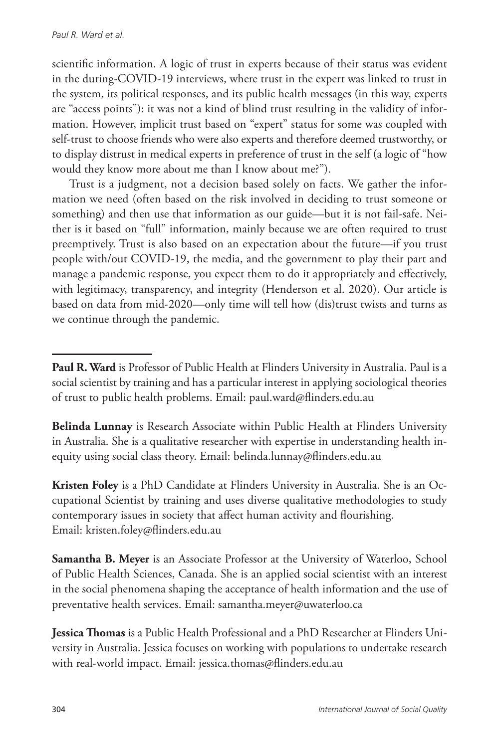scientific information. A logic of trust in experts because of their status was evident in the during-COVID-19 interviews, where trust in the expert was linked to trust in the system, its political responses, and its public health messages (in this way, experts are "access points"): it was not a kind of blind trust resulting in the validity of information. However, implicit trust based on "expert" status for some was coupled with self-trust to choose friends who were also experts and therefore deemed trustworthy, or to display distrust in medical experts in preference of trust in the self (a logic of "how would they know more about me than I know about me?").

Trust is a judgment, not a decision based solely on facts. We gather the information we need (often based on the risk involved in deciding to trust someone or something) and then use that information as our guide—but it is not fail-safe. Neither is it based on "full" information, mainly because we are often required to trust preemptively. Trust is also based on an expectation about the future—if you trust people with/out COVID-19, the media, and the government to play their part and manage a pandemic response, you expect them to do it appropriately and effectively, with legitimacy, transparency, and integrity (Henderson et al. 2020). Our article is based on data from mid-2020—only time will tell how (dis)trust twists and turns as we continue through the pandemic.

**Belinda Lunnay** is Research Associate within Public Health at Flinders University in Australia. She is a qualitative researcher with expertise in understanding health inequity using social class theory. Email: belinda.lunnay@flinders.edu.au

**Kristen Foley** is a PhD Candidate at Flinders University in Australia. She is an Occupational Scientist by training and uses diverse qualitative methodologies to study contemporary issues in society that affect human activity and flourishing. Email: kristen.foley@flinders.edu.au

**Samantha B. Meyer** is an Associate Professor at the University of Waterloo, School of Public Health Sciences, Canada. She is an applied social scientist with an interest in the social phenomena shaping the acceptance of health information and the use of preventative health services. Email: samantha.meyer@uwaterloo.ca

**Jessica Thomas** is a Public Health Professional and a PhD Researcher at Flinders University in Australia. Jessica focuses on working with populations to undertake research with real-world impact. Email: jessica.thomas@flinders.edu.au

**Paul R. Ward** is Professor of Public Health at Flinders University in Australia. Paul is a social scientist by training and has a particular interest in applying sociological theories of trust to public health problems. Email: paul.ward@flinders.edu.au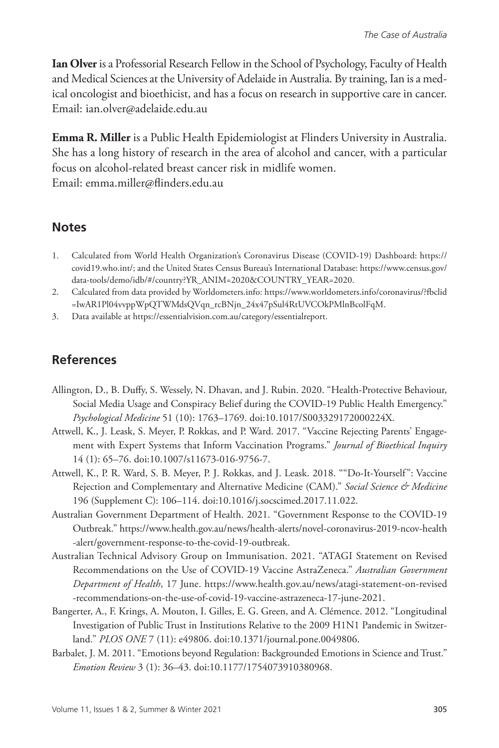**Ian Olver** is a Professorial Research Fellow in the School of Psychology, Faculty of Health and Medical Sciences at the University of Adelaide in Australia. By training, Ian is a medical oncologist and bioethicist, and has a focus on research in supportive care in cancer. Email: ian.olver@adelaide.edu.au

**Emma R. Miller** is a Public Health Epidemiologist at Flinders University in Australia. She has a long history of research in the area of alcohol and cancer, with a particular focus on alcohol-related breast cancer risk in midlife women. Email: emma.miller@flinders.edu.au

#### **Notes**

- 1. Calculated from World Health Organization's Coronavirus Disease (COVID-19) Dashboard: [https://](https://covid19.who.int/) [covid19.who.int/](https://covid19.who.int/); and the United States Census Bureau's International Database: https://www.census.gov/ data-tools/demo/idb/#/country?YR\_ANIM=2020&COUNTRY\_YEAR=2020.
- 2. Calculated from data provided by Worldometers.info: [https://www.worldometers.info/coronavirus/?fbclid](https://www.worldometers.info/coronavirus/?fbclid=IwAR1Pl04vvppWpQTWMdsQVqn_rcBNjn_24x47pSul4RtUVCOkPMlnBcolFqM) [=IwAR1Pl04vvppWpQTWMdsQVqn\\_rcBNjn\\_24x47pSul4RtUVCOkPMlnBcolFqM](https://www.worldometers.info/coronavirus/?fbclid=IwAR1Pl04vvppWpQTWMdsQVqn_rcBNjn_24x47pSul4RtUVCOkPMlnBcolFqM).
- 3. Data available at [https://essentialvision.com.au/category/essentialreport.](https://essentialvision.com.au/category/essentialreport)

# **References**

- Allington, D., B. Duffy, S. Wessely, N. Dhavan, and J. Rubin. 2020. "Health-Protective Behaviour, Social Media Usage and Conspiracy Belief during the COVID-19 Public Health Emergency." *Psychological Medicine* 51 (10): 1763–1769. doi:10.1017/S003329172000224X.
- Attwell, K., J. Leask, S. Meyer, P. Rokkas, and P. Ward. 2017. "Vaccine Rejecting Parents' Engagement with Expert Systems that Inform Vaccination Programs." *Journal of Bioethical Inquiry* 14 (1): 65–76. doi:10.1007/s11673-016-9756-7.
- Attwell, K., P. R. Ward, S. B. Meyer, P. J. Rokkas, and J. Leask. 2018. ""Do-It-Yourself": Vaccine Rejection and Complementary and Alternative Medicine (CAM)." *Social Science & Medicine* 196 (Supplement C): 106–114. doi:10.1016/j.socscimed.2017.11.022.
- Australian Government Department of Health. 2021. "Government Response to the COVID-19 Outbreak." [https://www.health.gov.au/news/health-alerts/novel-coronavirus-2019-ncov-health](https://www.health.gov.au/news/health-alerts/novel-coronavirus-2019-ncov-health-alert/government-response-to-the-covid-19-outbreak) [-alert/government-response-to-the-covid-19-outbreak.](https://www.health.gov.au/news/health-alerts/novel-coronavirus-2019-ncov-health-alert/government-response-to-the-covid-19-outbreak)
- Australian Technical Advisory Group on Immunisation. 2021. "ATAGI Statement on Revised Recommendations on the Use of COVID-19 Vaccine AstraZeneca." *Australian Government Department of Health*, 17 June. https://www.health.gov.au/news/atagi-statement-on-revised -recommendations-on-the-use-of-covid-19-vaccine-astrazeneca-17-june-2021.
- Bangerter, A., F. Krings, A. Mouton, I. Gilles, E. G. Green, and A. Clémence. 2012. "Longitudinal Investigation of Public Trust in Institutions Relative to the 2009 H1N1 Pandemic in Switzerland." *PLOS ONE* 7 (11): e49806. doi:10.1371/journal.pone.0049806.
- Barbalet, J. M. 2011. "Emotions beyond Regulation: Backgrounded Emotions in Science and Trust." *Emotion Review* 3 (1): 36–43. doi:10.1177/1754073910380968.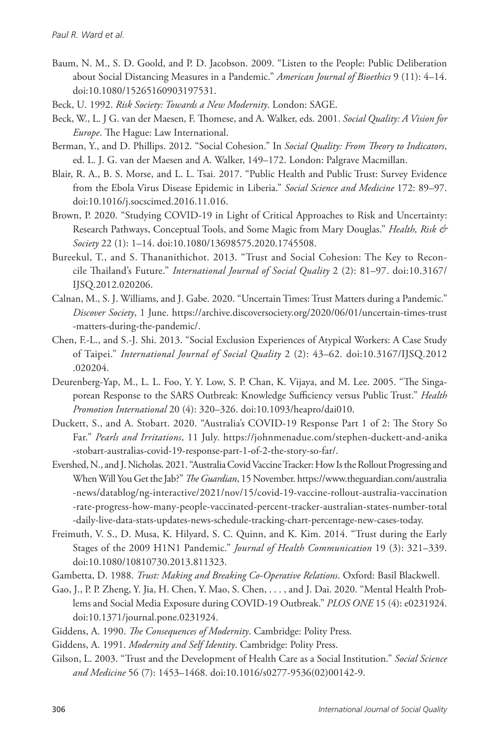- Baum, N. M., S. D. Goold, and P. D. Jacobson. 2009. "Listen to the People: Public Deliberation about Social Distancing Measures in a Pandemic." *American Journal of Bioethics* 9 (11): 4–14. doi:10.1080/15265160903197531.
- Beck, U. 1992. *Risk Society: Towards a New Modernity*. London: SAGE.
- Beck, W., L. J G. van der Maesen, F. Thomese, and A. Walker, eds. 2001. *Social Quality: A Vision for Europe*. The Hague: Law International.
- Berman, Y., and D. Phillips. 2012. "Social Cohesion." In *Social Quality: From Theory to Indicators*, ed. L. J. G. van der Maesen and A. Walker, 149–172. London: Palgrave Macmillan.
- Blair, R. A., B. S. Morse, and L. L. Tsai. 2017. "Public Health and Public Trust: Survey Evidence from the Ebola Virus Disease Epidemic in Liberia." *Social Science and Medicine* 172: 89–97. doi:10.1016/j.socscimed.2016.11.016.
- Brown, P. 2020. "Studying COVID-19 in Light of Critical Approaches to Risk and Uncertainty: Research Pathways, Conceptual Tools, and Some Magic from Mary Douglas." *Health, Risk & Society* 22 (1): 1–14. doi:10.1080/13698575.2020.1745508.
- Bureekul, T., and S. Thananithichot. 2013. "Trust and Social Cohesion: The Key to Reconcile Thailand's Future." *International Journal of Social Quality* 2 (2): 81–97. [doi:10.3167/](http://dx.doi.org/10.3167/IJSQ.2012.020206) [IJSQ.2012.020206](http://dx.doi.org/10.3167/IJSQ.2012.020206).
- Calnan, M., S. J. Williams, and J. Gabe. 2020. "Uncertain Times: Trust Matters during a Pandemic." *Discover Society*, 1 June. https://archive.discoversociety.org/2020/06/01/uncertain-times-trust -matters-during-the-pandemic/.
- Chen, F.-L., and S.-J. Shi. 2013. "Social Exclusion Experiences of Atypical Workers: A Case Study of Taipei." *International Journal of Social Quality* 2 (2): 43–62. doi:10.3167/IJSQ.2012 .020204.
- Deurenberg-Yap, M., L. L. Foo, Y. Y. Low, S. P. Chan, K. Vijaya, and M. Lee. 2005. "The Singaporean Response to the SARS Outbreak: Knowledge Sufficiency versus Public Trust." *Health Promotion International* 20 (4): 320–326. doi:10.1093/heapro/dai010.
- Duckett, S., and A. Stobart. 2020. "Australia's COVID-19 Response Part 1 of 2: The Story So Far." *Pearls and Irritations*, 11 July. https://johnmenadue.com/stephen-duckett-and-anika -stobart-australias-covid-19-response-part-1-of-2-the-story-so-far/.
- Evershed, N., and J. Nicholas. 2021. "Australia Covid Vaccine Tracker: How Is the Rollout Progressing and When Will You Get the Jab?" *The Guardian*, 15 November. https://www.theguardian.com/australia -news/datablog/ng-interactive/2021/nov/15/covid-19-vaccine-rollout-australia-vaccination -rate-progress-how-many-people-vaccinated-percent-tracker-australian-states-number-total -daily-live-data-stats-updates-news-schedule-tracking-chart-percentage-new-cases-today.
- Freimuth, V. S., D. Musa, K. Hilyard, S. C. Quinn, and K. Kim. 2014. "Trust during the Early Stages of the 2009 H1N1 Pandemic." *Journal of Health Communication* 19 (3): 321–339. doi:10.1080/10810730.2013.811323.
- Gambetta, D. 1988. *Trust: Making and Breaking Co-Operative Relations*. Oxford: Basil Blackwell.
- Gao, J., P. P. Zheng, Y. Jia, H. Chen, Y. Mao, S. Chen, . . . , and J. Dai. 2020. "Mental Health Problems and Social Media Exposure during COVID-19 Outbreak." *PLOS ONE* 15 (4): e0231924. doi:10.1371/journal.pone.0231924.
- Giddens, A. 1990. *The Consequences of Modernity*. Cambridge: Polity Press.
- Giddens, A. 1991. *Modernity and Self Identity*. Cambridge: Polity Press.
- Gilson, L. 2003. "Trust and the Development of Health Care as a Social Institution." *Social Science and Medicine* 56 (7): 1453–1468. doi:10.1016/s0277-9536(02)00142-9.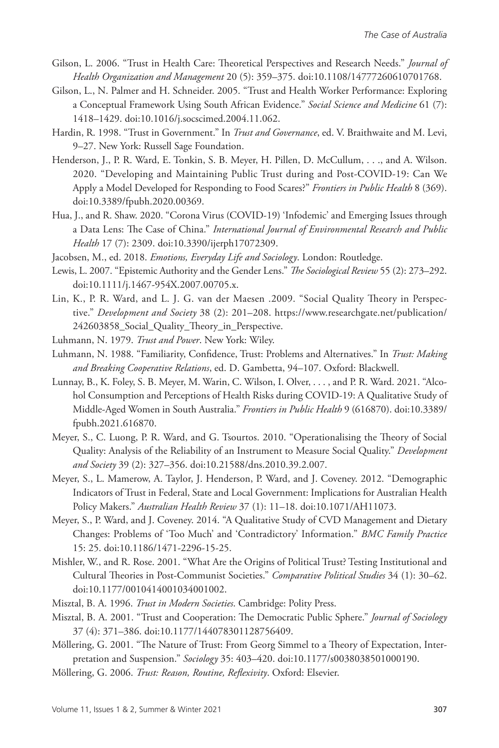- Gilson, L. 2006. "Trust in Health Care: Theoretical Perspectives and Research Needs." *Journal of Health Organization and Management* 20 (5): 359–375. doi:10.1108/14777260610701768.
- Gilson, L., N. Palmer and H. Schneider. 2005. "Trust and Health Worker Performance: Exploring a Conceptual Framework Using South African Evidence." *Social Science and Medicine* 61 (7): 1418–1429. doi:10.1016/j.socscimed.2004.11.062.
- Hardin, R. 1998. "Trust in Government." In *Trust and Governance*, ed. V. Braithwaite and M. Levi, 9–27. New York: Russell Sage Foundation.
- Henderson, J., P. R. Ward, E. Tonkin, S. B. Meyer, H. Pillen, D. McCullum, . . ., and A. Wilson. 2020. "Developing and Maintaining Public Trust during and Post-COVID-19: Can We Apply a Model Developed for Responding to Food Scares?" *Frontiers in Public Health* 8 (369). doi:10.3389/fpubh.2020.00369.
- Hua, J., and R. Shaw. 2020. "Corona Virus (COVID-19) 'Infodemic' and Emerging Issues through a Data Lens: The Case of China." *International Journal of Environmental Research and Public Health* 17 (7): 2309. doi:10.3390/ijerph17072309.
- Jacobsen, M., ed. 2018. *Emotions, Everyday Life and Sociology*. London: Routledge.
- Lewis, L. 2007. "Epistemic Authority and the Gender Lens." *The Sociological Review* 55 (2): 273–292. doi:10.1111/j.1467-954X.2007.00705.x.
- Lin, K., P. R. Ward, and L. J. G. van der Maesen .2009. "Social Quality Theory in Perspective." *Development and Society* 38 (2): 201–208. https://www.researchgate.net/publication/ 242603858\_Social\_Quality\_Theory\_in\_Perspective.
- Luhmann, N. 1979. *Trust and Power*. New York: Wiley.
- Luhmann, N. 1988. "Familiarity, Confidence, Trust: Problems and Alternatives." In *Trust: Making and Breaking Cooperative Relations*, ed. D. Gambetta, 94–107. Oxford: Blackwell.
- Lunnay, B., K. Foley, S. B. Meyer, M. Warin, C. Wilson, I. Olver, . . . , and P. R. Ward. 2021. "Alcohol Consumption and Perceptions of Health Risks during COVID-19: A Qualitative Study of Middle-Aged Women in South Australia." *Frontiers in Public Health* 9 (616870). doi:10.3389/ fpubh.2021.616870.
- Meyer, S., C. Luong, P. R. Ward, and G. Tsourtos. 2010. "Operationalising the Theory of Social Quality: Analysis of the Reliability of an Instrument to Measure Social Quality." *Development and Society* 39 (2): 327–356. doi:10.21588/dns.2010.39.2.007.
- Meyer, S., L. Mamerow, A. Taylor, J. Henderson, P. Ward, and J. Coveney. 2012. "Demographic Indicators of Trust in Federal, State and Local Government: Implications for Australian Health Policy Makers." *Australian Health Review* 37 (1): 11–18. doi:10.1071/AH11073.
- Meyer, S., P. Ward, and J. Coveney. 2014. "A Qualitative Study of CVD Management and Dietary Changes: Problems of 'Too Much' and 'Contradictory' Information." *BMC Family Practice* 15: 25. doi:10.1186/1471-2296-15-25.
- Mishler, W., and R. Rose. 2001. "What Are the Origins of Political Trust? Testing Institutional and Cultural Theories in Post-Communist Societies." *Comparative Political Studies* 34 (1): 30–62. doi:10.1177/0010414001034001002.
- Misztal, B. A. 1996. *Trust in Modern Societies*. Cambridge: Polity Press.
- Misztal, B. A. 2001. "Trust and Cooperation: The Democratic Public Sphere." *Journal of Sociology* 37 (4): 371–386. doi:10.1177/144078301128756409.
- Möllering, G. 2001. "The Nature of Trust: From Georg Simmel to a Theory of Expectation, Interpretation and Suspension." *Sociology* 35: 403–420. doi:10.1177/s0038038501000190.
- Möllering, G. 2006. *Trust: Reason, Routine, Reflexivity*. Oxford: Elsevier.